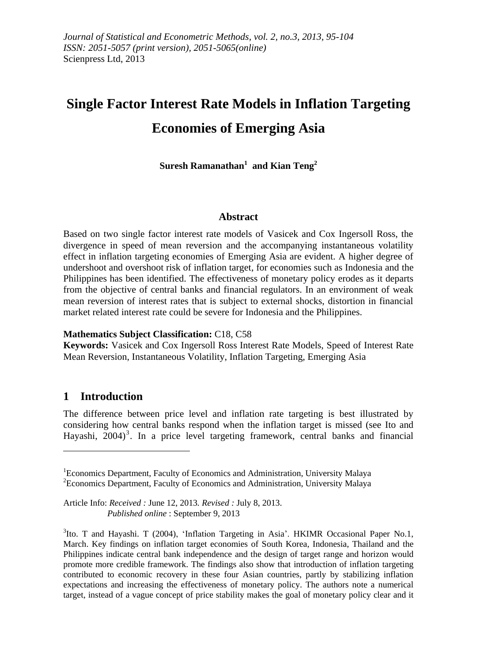# **Single Factor Interest Rate Models in Inflation Targeting Economies of Emerging Asia**

**Suresh Ramanathan<sup>1</sup> and Kian Teng<sup>2</sup>**

#### **Abstract**

Based on two single factor interest rate models of Vasicek and Cox Ingersoll Ross, the divergence in speed of mean reversion and the accompanying instantaneous volatility effect in inflation targeting economies of Emerging Asia are evident. A higher degree of undershoot and overshoot risk of inflation target, for economies such as Indonesia and the Philippines has been identified. The effectiveness of monetary policy erodes as it departs from the objective of central banks and financial regulators. In an environment of weak mean reversion of interest rates that is subject to external shocks, distortion in financial market related interest rate could be severe for Indonesia and the Philippines.

#### **Mathematics Subject Classification:** C18, C58

**Keywords:** Vasicek and Cox Ingersoll Ross Interest Rate Models, Speed of Interest Rate Mean Reversion, Instantaneous Volatility, Inflation Targeting, Emerging Asia

## **1 Introduction**

 $\overline{a}$ 

The difference between price level and inflation rate targeting is best illustrated by considering how central banks respond when the inflation target is missed (see Ito and Hayashi, 2004)<sup>3</sup>. In a price level targeting framework, central banks and financial

<sup>&</sup>lt;sup>1</sup>Economics Department, Faculty of Economics and Administration, University Malaya <sup>2</sup>Economics Department, Faculty of Economics and Administration, University Malaya

Article Info: *Received :* June 12, 2013*. Revised :* July 8, 2013.  *Published online* : September 9, 2013

<sup>&</sup>lt;sup>3</sup>Ito. T and Hayashi. T (2004), 'Inflation Targeting in Asia'. HKIMR Occasional Paper No.1, March. Key findings on inflation target economies of South Korea, Indonesia, Thailand and the Philippines indicate central bank independence and the design of target range and horizon would promote more credible framework. The findings also show that introduction of inflation targeting contributed to economic recovery in these four Asian countries, partly by stabilizing inflation expectations and increasing the effectiveness of monetary policy. The authors note a numerical target, instead of a vague concept of price stability makes the goal of monetary policy clear and it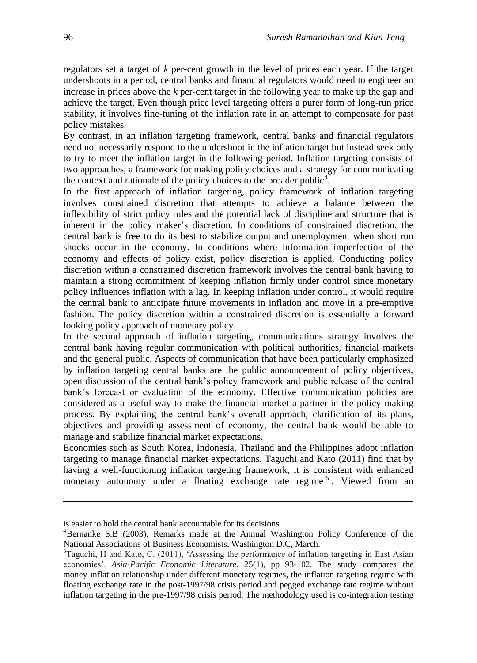regulators set a target of *k* per-cent growth in the level of prices each year. If the target undershoots in a period, central banks and financial regulators would need to engineer an increase in prices above the *k* per-cent target in the following year to make up the gap and achieve the target. Even though price level targeting offers a purer form of long-run price stability, it involves fine-tuning of the inflation rate in an attempt to compensate for past policy mistakes.

By contrast, in an inflation targeting framework, central banks and financial regulators need not necessarily respond to the undershoot in the inflation target but instead seek only to try to meet the inflation target in the following period. Inflation targeting consists of two approaches, a framework for making policy choices and a strategy for communicating the context and rationale of the policy choices to the broader public<sup>4</sup>.

In the first approach of inflation targeting, policy framework of inflation targeting involves constrained discretion that attempts to achieve a balance between the inflexibility of strict policy rules and the potential lack of discipline and structure that is inherent in the policy maker's discretion. In conditions of constrained discretion, the central bank is free to do its best to stabilize output and unemployment when short run shocks occur in the economy. In conditions where information imperfection of the economy and effects of policy exist, policy discretion is applied. Conducting policy discretion within a constrained discretion framework involves the central bank having to maintain a strong commitment of keeping inflation firmly under control since monetary policy influences inflation with a lag. In keeping inflation under control, it would require the central bank to anticipate future movements in inflation and move in a pre-emptive fashion. The policy discretion within a constrained discretion is essentially a forward looking policy approach of monetary policy.

In the second approach of inflation targeting, communications strategy involves the central bank having regular communication with political authorities, financial markets and the general public. Aspects of communication that have been particularly emphasized by inflation targeting central banks are the public announcement of policy objectives, open discussion of the central bank's policy framework and public release of the central bank's forecast or evaluation of the economy. Effective communication policies are considered as a useful way to make the financial market a partner in the policy making process. By explaining the central bank's overall approach, clarification of its plans, objectives and providing assessment of economy, the central bank would be able to manage and stabilize financial market expectations.

Economies such as South Korea, Indonesia, Thailand and the Philippines adopt inflation targeting to manage financial market expectations. Taguchi and Kato (2011) find that by having a well-functioning inflation targeting framework, it is consistent with enhanced monetary autonomy under a floating exchange rate regime<sup>5</sup>. Viewed from an

 $\overline{a}$ 

is easier to hold the central bank accountable for its decisions.

<sup>4</sup>Bernanke S.B (2003), Remarks made at the Annual Washington Policy Conference of the National Associations of Business Economists, Washington D.C, March.

 ${}^{5}$ Taguchi, H and Kato, C. (2011), 'Assessing the performance of inflation targeting in East Asian economies'. *Asia-Pacific Economic Literature*, 25(1), pp 93-102. The study compares the money-inflation relationship under different monetary regimes, the inflation targeting regime with floating exchange rate in the post-1997/98 crisis period and pegged exchange rate regime without inflation targeting in the pre-1997/98 crisis period. The methodology used is co-integration testing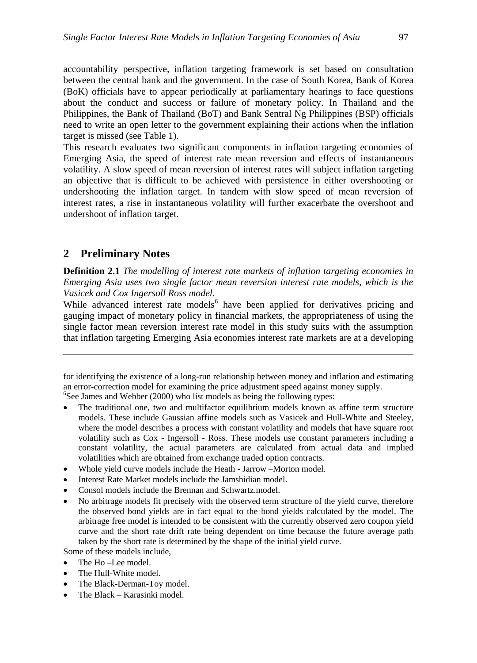accountability perspective, inflation targeting framework is set based on consultation between the central bank and the government. In the case of South Korea, Bank of Korea (BoK) officials have to appear periodically at parliamentary hearings to face questions about the conduct and success or failure of monetary policy. In Thailand and the Philippines, the Bank of Thailand (BoT) and Bank Sentral Ng Philippines (BSP) officials need to write an open letter to the government explaining their actions when the inflation target is missed (see Table 1).

This research evaluates two significant components in inflation targeting economies of Emerging Asia, the speed of interest rate mean reversion and effects of instantaneous volatility. A slow speed of mean reversion of interest rates will subject inflation targeting an objective that is difficult to be achieved with persistence in either overshooting or undershooting the inflation target. In tandem with slow speed of mean reversion of interest rates, a rise in instantaneous volatility will further exacerbate the overshoot and undershoot of inflation target.

### **2 Preliminary Notes**

 $\overline{a}$ 

**Definition 2.1** *The modelling of interest rate markets of inflation targeting economies in Emerging Asia uses two single factor mean reversion interest rate models, which is the Vasicek and Cox Ingersoll Ross model*.

While advanced interest rate models<sup>6</sup> have been applied for derivatives pricing and gauging impact of monetary policy in financial markets, the appropriateness of using the single factor mean reversion interest rate model in this study suits with the assumption that inflation targeting Emerging Asia economies interest rate markets are at a developing

for identifying the existence of a long-run relationship between money and inflation and estimating an error-correction model for examining the price adjustment speed against money supply. <sup>6</sup>See James and Webber (2000) who list models as being the following types:

- The traditional one, two and multifactor equilibrium models known as affine term structure models. These include Gaussian affine models such as Vasicek and Hull-White and Steeley, where the model describes a process with constant volatility and models that have square root volatility such as Cox - Ingersoll - Ross. These models use constant parameters including a constant volatility, the actual parameters are calculated from actual data and implied volatilities which are obtained from exchange traded option contracts.
- Whole yield curve models include the Heath Jarrow –Morton model.
- Interest Rate Market models include the Jamshidian model.
- Consol models include the Brennan and Schwartz.model.
- No arbitrage models fit precisely with the observed term structure of the yield curve, therefore the observed bond yields are in fact equal to the bond yields calculated by the model. The arbitrage free model is intended to be consistent with the currently observed zero coupon yield curve and the short rate drift rate being dependent on time because the future average path taken by the short rate is determined by the shape of the initial yield curve.

Some of these models include,

- The Ho –Lee model.
- The Hull-White model.
- The Black-Derman-Toy model.
- The Black Karasinki model.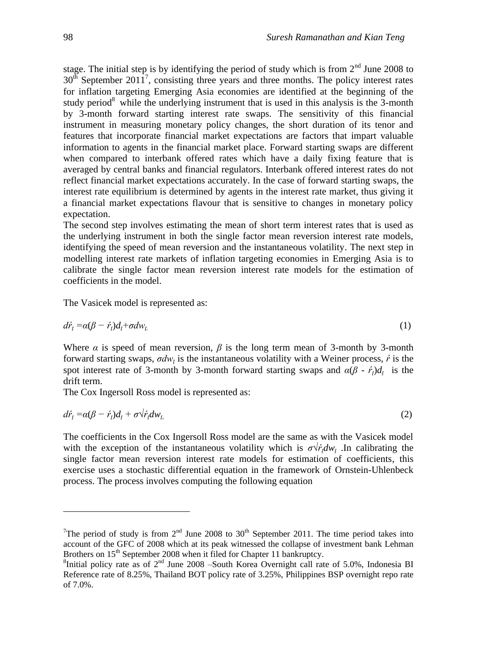stage. The initial step is by identifying the period of study which is from  $2<sup>nd</sup>$  June 2008 to  $30<sup>th</sup>$  September  $2011<sup>7</sup>$ , consisting three years and three months. The policy interest rates for inflation targeting Emerging Asia economies are identified at the beginning of the study period $8$  while the underlying instrument that is used in this analysis is the 3-month by 3-month forward starting interest rate swaps. The sensitivity of this financial instrument in measuring monetary policy changes, the short duration of its tenor and features that incorporate financial market expectations are factors that impart valuable information to agents in the financial market place. Forward starting swaps are different when compared to interbank offered rates which have a daily fixing feature that is averaged by central banks and financial regulators. Interbank offered interest rates do not reflect financial market expectations accurately. In the case of forward starting swaps, the interest rate equilibrium is determined by agents in the interest rate market, thus giving it a financial market expectations flavour that is sensitive to changes in monetary policy expectation.

The second step involves estimating the mean of short term interest rates that is used as the underlying instrument in both the single factor mean reversion interest rate models, identifying the speed of mean reversion and the instantaneous volatility. The next step in modelling interest rate markets of inflation targeting economies in Emerging Asia is to calibrate the single factor mean reversion interest rate models for the estimation of coefficients in the model.

The Vasicek model is represented as:

$$
d\dot{r}_t = \alpha(\beta - \dot{r}_t)d_t + \sigma d w_t \tag{1}
$$

Where  $\alpha$  is speed of mean reversion,  $\beta$  is the long term mean of 3-month by 3-month forward starting swaps, *σdw<sup>ţ</sup>* is the instantaneous volatility with a Weiner process, *ŕ* is the spot interest rate of 3-month by 3-month forward starting swaps and  $\alpha(\beta - \dot{r}_t)d_t$  is the drift term.

The Cox Ingersoll Ross model is represented as:

$$
d\dot{r}_t = \alpha(\beta - \dot{r}_t)d_t + \sigma \dot{\sqrt{r}_t}dw_t
$$
\n(2)

The coefficients in the Cox Ingersoll Ross model are the same as with the Vasicek model with the exception of the instantaneous volatility which is  $\sigma \sqrt{r_r} dw_t$ . In calibrating the single factor mean reversion interest rate models for estimation of coefficients, this exercise uses a stochastic differential equation in the framework of Ornstein-Uhlenbeck process. The process involves computing the following equation

 $\overline{a}$ 

<sup>&</sup>lt;sup>7</sup>The period of study is from  $2<sup>nd</sup>$  June 2008 to 30<sup>th</sup> September 2011. The time period takes into account of the GFC of 2008 which at its peak witnessed the collapse of investment bank Lehman Brothers on 15<sup>th</sup> September 2008 when it filed for Chapter 11 bankruptcy.

<sup>&</sup>lt;sup>8</sup>Initial policy rate as of  $2<sup>nd</sup>$  June 2008 –South Korea Overnight call rate of 5.0%, Indonesia BI Reference rate of 8.25%, Thailand BOT policy rate of 3.25%, Philippines BSP overnight repo rate of 7.0%.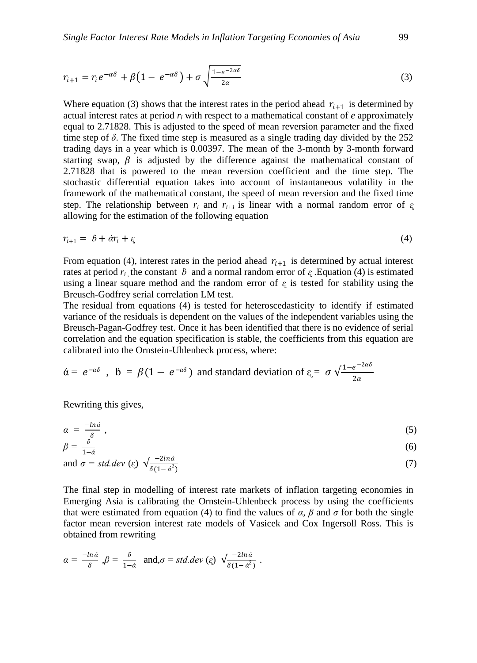$$
r_{i+1} = r_i e^{-\alpha \delta} + \beta \left( 1 - e^{-\alpha \delta} \right) + \sigma \sqrt{\frac{1 - e^{-2\alpha \delta}}{2\alpha}}
$$
\n<sup>(3)</sup>

Where equation (3) shows that the interest rates in the period ahead  $r_{i+1}$  is determined by actual interest rates at period  $r_i$  with respect to a mathematical constant of  $e$  approximately equal to 2.71828. This is adjusted to the speed of mean reversion parameter and the fixed time step of  $\delta$ . The fixed time step is measured as a single trading day divided by the 252 trading days in a year which is 0.00397. The mean of the 3-month by 3-month forward starting swap,  $\beta$  is adjusted by the difference against the mathematical constant of 2.71828 that is powered to the mean reversion coefficient and the time step. The stochastic differential equation takes into account of instantaneous volatility in the framework of the mathematical constant, the speed of mean reversion and the fixed time step. The relationship between  $r_i$  and  $r_{i+1}$  is linear with a normal random error of  $\epsilon_i$ allowing for the estimation of the following equation

$$
r_{i+1} = b + \dot{a}r_i + \varepsilon \tag{4}
$$

From equation (4), interest rates in the period ahead  $r_{i+1}$  is determined by actual interest rates at period  $r_i$ , the constant  $\ddot{b}$  and a normal random error of  $\epsilon_i$ . Equation (4) is estimated using a linear square method and the random error of  $\epsilon$  is tested for stability using the Breusch-Godfrey serial correlation LM test.

The residual from equations (4) is tested for [heteroscedasticity](http://en.wikipedia.org/wiki/Heteroscedasticity) to identify if estimated [variance](http://en.wikipedia.org/wiki/Variance) of the [residuals](http://en.wikipedia.org/wiki/Errors_and_residuals_in_statistics) is dependent on the values of the independent variables using the Breusch-Pagan-Godfrey test. Once it has been identified that there is no evidence of serial correlation and the equation specification is stable, the coefficients from this equation are calibrated into the Ornstein-Uhlenbeck process, where:

$$
\dot{\alpha} = e^{-\alpha\delta}
$$
,  $\dot{b} = \beta(1 - e^{-\alpha\delta})$  and standard deviation of  $\varepsilon = \sigma \sqrt{\frac{1 - e^{-2\alpha\delta}}{2\alpha}}$ 

Rewriting this gives,

$$
\alpha = \frac{-\ln \dot{\alpha}}{\delta} \,, \tag{5}
$$

$$
\beta = \frac{b}{1-\dot{a}}\tag{6}
$$

and 
$$
\sigma = std. dev \ (\varepsilon) \ \sqrt{\frac{-zina}{\delta(1-\dot{\alpha}^2)}}
$$
 (7)

The final step in modelling of interest rate markets of inflation targeting economies in Emerging Asia is calibrating the Ornstein-Uhlenbeck process by using the coefficients that were estimated from equation (4) to find the values of  $\alpha$ ,  $\beta$  and  $\sigma$  for both the single factor mean reversion interest rate models of Vasicek and Cox Ingersoll Ross. This is obtained from rewriting

$$
\alpha = \frac{-\ln \dot{\alpha}}{\delta}, \beta = \frac{\delta}{1-\dot{\alpha}} \text{ and, } \sigma = std. dev \ (\varepsilon) \ \sqrt{\frac{-2\ln \dot{\alpha}}{\delta(1-\dot{\alpha}^2)}} \ .
$$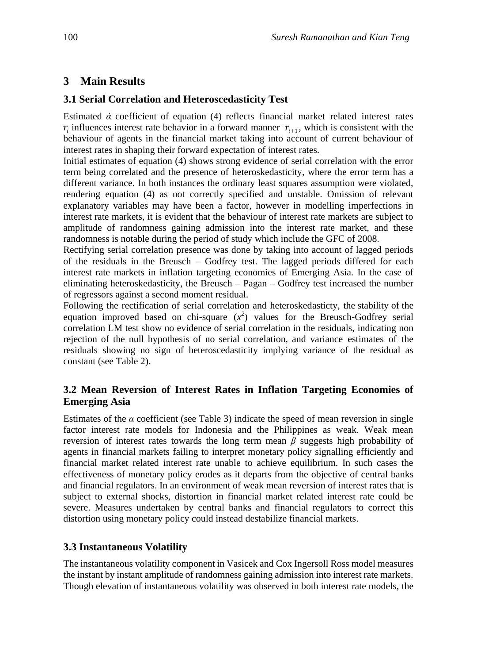## **3 Main Results**

#### **3.1 Serial Correlation and Heteroscedasticity Test**

Estimated  $\acute{\alpha}$  coefficient of equation (4) reflects financial market related interest rates  $r_i$  influences interest rate behavior in a forward manner  $r_{i+1}$ , which is consistent with the behaviour of agents in the financial market taking into account of current behaviour of interest rates in shaping their forward expectation of interest rates.

Initial estimates of equation (4) shows strong evidence of serial correlation with the error term being correlated and the presence of heteroskedasticity, where the error term has a different variance. In both instances the ordinary least squares assumption were violated, rendering equation (4) as not correctly specified and unstable. Omission of relevant explanatory variables may have been a factor, however in modelling imperfections in interest rate markets, it is evident that the behaviour of interest rate markets are subject to amplitude of randomness gaining admission into the interest rate market, and these randomness is notable during the period of study which include the GFC of 2008.

Rectifying serial correlation presence was done by taking into account of lagged periods of the residuals in the Breusch – Godfrey test. The lagged periods differed for each interest rate markets in inflation targeting economies of Emerging Asia. In the case of eliminating heteroskedasticity, the Breusch – Pagan – Godfrey test increased the number of regressors against a second moment residual.

Following the rectification of serial correlation and heteroskedasticty, the stability of the equation improved based on chi-square  $(x^2)$  values for the Breusch-Godfrey serial correlation LM test show no evidence of serial correlation in the residuals, indicating non rejection of the null hypothesis of no serial correlation, and variance estimates of the [residuals](http://en.wikipedia.org/wiki/Errors_and_residuals_in_statistics) showing no sign of [heteroscedasticity](http://en.wikipedia.org/wiki/Heteroscedasticity) implying variance of the residual as constant (see Table 2).

## **3.2 Mean Reversion of Interest Rates in Inflation Targeting Economies of Emerging Asia**

Estimates of the  $\alpha$  coefficient (see Table 3) indicate the speed of mean reversion in single factor interest rate models for Indonesia and the Philippines as weak. Weak mean reversion of interest rates towards the long term mean *β* suggests high probability of agents in financial markets failing to interpret monetary policy signalling efficiently and financial market related interest rate unable to achieve equilibrium. In such cases the effectiveness of monetary policy erodes as it departs from the objective of central banks and financial regulators. In an environment of weak mean reversion of interest rates that is subject to external shocks, distortion in financial market related interest rate could be severe. Measures undertaken by central banks and financial regulators to correct this distortion using monetary policy could instead destabilize financial markets.

## **3.3 Instantaneous Volatility**

The instantaneous volatility component in Vasicek and Cox Ingersoll Ross model measures the instant by instant amplitude of randomness gaining admission into interest rate markets. Though elevation of instantaneous volatility was observed in both interest rate models, the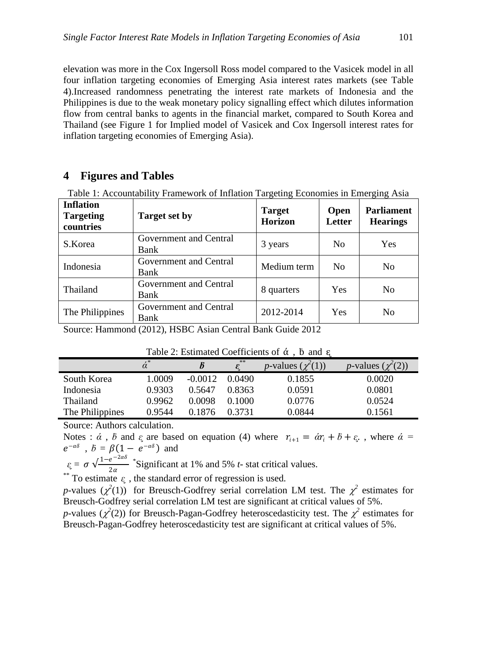elevation was more in the Cox Ingersoll Ross model compared to the Vasicek model in all four inflation targeting economies of Emerging Asia interest rates markets (see Table 4).Increased randomness penetrating the interest rate markets of Indonesia and the Philippines is due to the weak monetary policy signalling effect which dilutes information flow from central banks to agents in the financial market, compared to South Korea and Thailand (see Figure 1 for Implied model of Vasicek and Cox Ingersoll interest rates for inflation targeting economies of Emerging Asia).

#### **4 Figures and Tables**

| <b>Inflation</b><br><b>Targeting</b><br>countries | <b>Target set by</b>           | <b>Target</b><br><b>Horizon</b> | <b>Open</b><br>Letter | <b>Parliament</b><br><b>Hearings</b> |
|---------------------------------------------------|--------------------------------|---------------------------------|-----------------------|--------------------------------------|
| S.Korea                                           | Government and Central<br>Bank | 3 years                         | N <sub>0</sub>        | Yes                                  |
| Indonesia                                         | Government and Central<br>Bank | Medium term                     | N <sub>0</sub>        | N <sub>0</sub>                       |
| Thailand                                          | Government and Central<br>Bank | 8 quarters                      | Yes                   | N <sub>0</sub>                       |
| The Philippines                                   | Government and Central<br>Bank | 2012-2014                       | <b>Yes</b>            | N <sub>0</sub>                       |

Table 1: Accountability Framework of Inflation Targeting Economies in Emerging Asia

Source: Hammond (2012), HSBC Asian Central Bank Guide 2012

|                 |        |           | **     | <i>p</i> -values $(\chi^2(1))$ | <i>p</i> -values $(\chi^2(2))$ |
|-----------------|--------|-----------|--------|--------------------------------|--------------------------------|
| South Korea     | 1.0009 | $-0.0012$ | 0.0490 | 0.1855                         | 0.0020                         |
| Indonesia       | 0.9303 | 0.5647    | 0.8363 | 0.0591                         | 0.0801                         |
| Thailand        | 0.9962 | 0.0098    | 0.1000 | 0.0776                         | 0.0524                         |
| The Philippines | 0.9544 | 0.1876    | 0.3731 | 0.0844                         | 0.1561                         |
|                 |        |           |        |                                |                                |

Table 2: Estimated Coefficients of  $\alpha$ .  $\beta$  and  $\epsilon$ 

Source: Authors calculation.

Notes :  $\dot{\alpha}$ ,  $\dot{\beta}$  and  $\epsilon$  are based on equation (4) where  $r_{i+1} = \dot{a}r_i + \dot{b} + \epsilon_i$ , where  $\dot{\alpha} =$  $e^{-\alpha\delta}$  ,  $b = \beta(1 - e^{-\alpha\delta})$  and

 $\varepsilon$ <sub>*i*</sub> =  $\sigma \sqrt{\frac{1-e^{-2\alpha\delta}}{2\pi}}$  $2\alpha$ \* Significant at 1% and 5% *t*- stat critical values.

\*\* To estimate  $\varepsilon$ , the standard error of regression is used.

*p*-values  $(\chi^2(1))$  for Breusch-Godfrey serial correlation LM test. The  $\chi^2$  estimates for Breusch-Godfrey serial correlation LM test are significant at critical values of 5%.

*p*-values ( $\chi^2(2)$ ) for Breusch-Pagan-Godfrey [heteroscedasticity](http://en.wikipedia.org/wiki/Heteroscedasticity) test. The  $\chi^2$  estimates for Breusch-Pagan-Godfrey [heteroscedasticity](http://en.wikipedia.org/wiki/Heteroscedasticity) test are significant at critical values of 5%.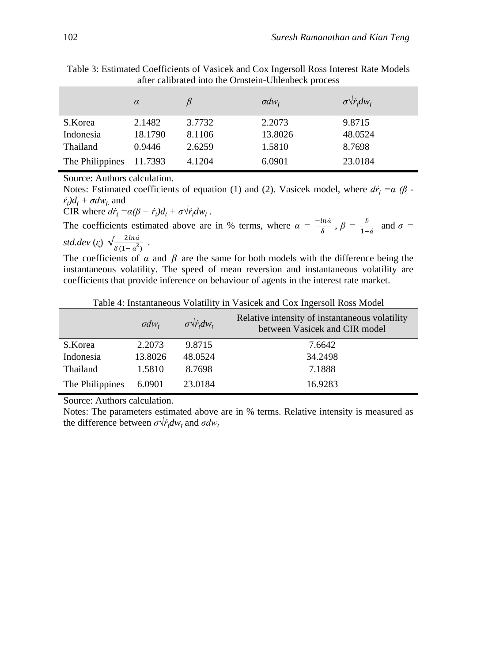|                 | $\alpha$ |        | $\sigma dw_t$ | $\sigma\sqrt{\dot{r}_t}dw_t$ |
|-----------------|----------|--------|---------------|------------------------------|
| S.Korea         | 2.1482   | 3.7732 | 2.2073        | 9.8715                       |
| Indonesia       | 18.1790  | 8.1106 | 13.8026       | 48.0524                      |
| Thailand        | 0.9446   | 2.6259 | 1.5810        | 8.7698                       |
| The Philippines | 11.7393  | 4.1204 | 6.0901        | 23.0184                      |

Table 3: Estimated Coefficients of Vasicek and Cox Ingersoll Ross Interest Rate Models after calibrated into the Ornstein-Uhlenbeck process

Source: Authors calculation.

Notes: Estimated coefficients of equation (1) and (2). Vasicek model, where  $d\vec{r}$ <sub>*t*</sub> =  $\alpha$  ( $\beta$  - $\dot{r}_t$  $\frac{d}{dt} + \sigma d w_t$  and

CIR where  $d\dot{r}_t = \alpha(\beta - \dot{r}_t)d_t + \sigma\sqrt{\dot{r}_t}dW_t$ .

The coefficients estimated above are in % terms, where  $\alpha = \frac{-\ln \dot{\alpha}}{s}$  $\frac{\partial \ln \dot{\alpha}}{\partial}$ ,  $\beta = \frac{\dot{\beta}}{1-\dot{\alpha}}$  and  $\sigma =$ *std.dev* (*ᶓ*) √ −2*ά*  $\frac{-2i\pi a}{\delta(1-\dot{\alpha}^2)}$ .

The coefficients of  $\alpha$  and  $\beta$  are the same for both models with the difference being the instantaneous volatility. The speed of mean reversion and instantaneous volatility are coefficients that provide inference on behaviour of agents in the interest rate market.

|                 | $\sigma dw_t$ | $\sigma \sqrt{\dot{r}_t} dw_t$ | Relative intensity of instantaneous volatility<br>between Vasicek and CIR model |
|-----------------|---------------|--------------------------------|---------------------------------------------------------------------------------|
| S.Korea         | 2.2073        | 9.8715                         | 7.6642                                                                          |
| Indonesia       | 13.8026       | 48.0524                        | 34.2498                                                                         |
| Thailand        | 1.5810        | 8.7698                         | 7.1888                                                                          |
| The Philippines | 6.0901        | 23.0184                        | 16.9283                                                                         |

Table 4: Instantaneous Volatility in Vasicek and Cox Ingersoll Ross Model

Source: Authors calculation.

Notes: The parameters estimated above are in % terms. Relative intensity is measured as the difference between  $\sigma \sqrt{r_i} dw_i$  and  $\sigma dw_i$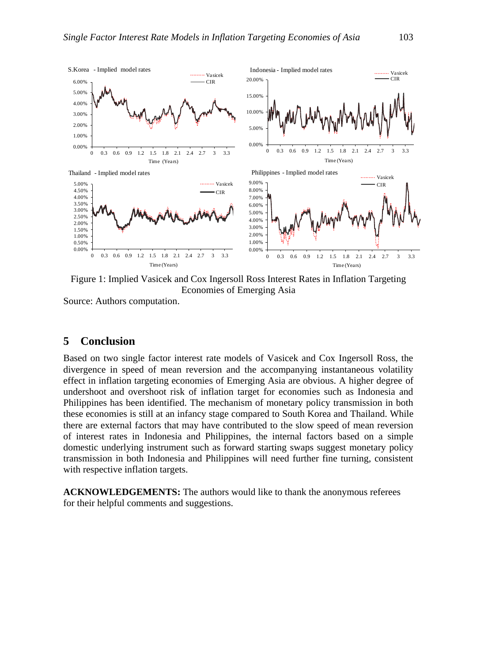

Figure 1: Implied Vasicek and Cox Ingersoll Ross Interest Rates in Inflation Targeting Economies of Emerging Asia

Source: Authors computation.

#### **5 Conclusion**

Based on two single factor interest rate models of Vasicek and Cox Ingersoll Ross, the divergence in speed of mean reversion and the accompanying instantaneous volatility effect in inflation targeting economies of Emerging Asia are obvious. A higher degree of undershoot and overshoot risk of inflation target for economies such as Indonesia and Philippines has been identified. The mechanism of monetary policy transmission in both these economies is still at an infancy stage compared to South Korea and Thailand. While there are external factors that may have contributed to the slow speed of mean reversion of interest rates in Indonesia and Philippines, the internal factors based on a simple domestic underlying instrument such as forward starting swaps suggest monetary policy transmission in both Indonesia and Philippines will need further fine turning, consistent with respective inflation targets.

**ACKNOWLEDGEMENTS:** The authors would like to thank the anonymous referees for their helpful comments and suggestions.